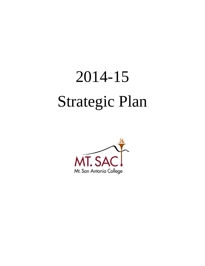# 2014-15 Strategic Plan

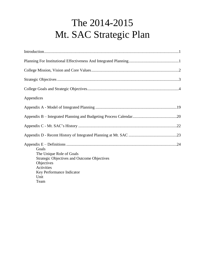# The 2014-2015 Mt. SAC Strategic Plan

| Appendices                                                                                                                                               |  |
|----------------------------------------------------------------------------------------------------------------------------------------------------------|--|
|                                                                                                                                                          |  |
|                                                                                                                                                          |  |
|                                                                                                                                                          |  |
|                                                                                                                                                          |  |
| Goals<br>The Unique Role of Goals<br><b>Strategic Objectives and Outcome Objectives</b><br>Objectives<br>Activities<br>Key Performance Indicator<br>Unit |  |
| Team                                                                                                                                                     |  |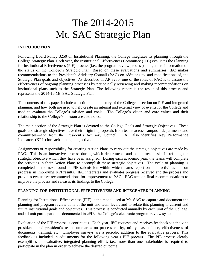# The 2014-2015 Mt. SAC Strategic Plan

#### <span id="page-2-0"></span>**INTRODUCTION**

 College Strategic Plan. Each year, the Institutional Effectiveness Committee (IEC) evaluates the Planning the status of the College's Strategic Plan. Based on these evaluations and summaries, IEC makes recommendations to the President's Advisory Council (PAC) on additions to, and modifications of, the Strategic Plan goals and objectives. As described in AP 3250, one of the roles of PAC is to assure the effectiveness of ongoing planning processes by periodically reviewing and making recommendations on institutional plans such as the Strategic Plan. The following report is the result of this process and Following Board Policy 3250 on Institutional Planning, the College integrates its planning through the for Institutional Effectiveness (PIE) process (i.e., the program review process) and gathers information on represents the 2014-15 Mt. SAC Strategic Plan.

 The contents of this paper include a section on the history of the College, a section on PIE and integrated used to evaluate the College's mission and goals. The College's vision and core values and their planning, and how both are used to help create an internal and external view of events for the College and relationship to the College's mission are also noted.

 The main section of the Strategic Plan is devoted to the College Goals and Strategic Objectives. These goals and strategic objectives have their origin in proposals from teams across campus—departments and committees—and from the President's Advisory Council. PAC also identifies Key Performance Indicators (KPIs) for each strategic objective.

 Assignments of responsibility for creating Action Plans to carry out the strategic objectives are made by PAC. This is an interactive process during which departments and committees assist in refining the strategic objective which they have been assigned. During each academic year, the teams will complete the activities in their Action Plans to accomplish these strategic objectives. The cycle of planning is progress in improving KPI results. IEC integrates and evaluates progress received and the process and completed in the next round of PIE submission within which teams report on their activities and on provides evaluative recommendations for improvement to PAC. PAC acts on final recommendations to improve the process and releases its findings to the College.

#### **PLANNING FOR INSTITUTIONAL EFFECTIVENESS AND INTEGRATED PLANNING**

 Planning for Institutional Effectiveness (PIE) is the model used at Mt. SAC to capture and document the planning and program review done at the unit and team levels and to relate this planning to current and future institutional goals and objectives. This process is conducted annually by each unit of the College, and all unit participation is documented in ePIE, the College's electronic program review system.

 Evaluation of the PIE process is continuous. Each year, IEC requests and receives feedback via the vice presidents' and president's team summaries on process clarity, utility, ease of use, effectiveness of documents, training, etc. Employee surveys are a periodic addition to the evaluative process. This feedback is included in adjustments for the following year's PIE process. The PIE process clearly exemplifies an evaluative, integrated planning effort, i.e., more than one stakeholder is required to participate in the plan in order to achieve the desired outcome.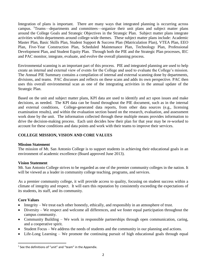<span id="page-3-0"></span> Integration of plans is important. There are many ways that integrated planning is occurring across campus. <sup>1</sup>Teams—departments and committees—organize their unit plans and subject matter plans around the College Goals and Strategic Objectives in the Strategic Plan. Subject matter plans integrate activities within departments around college-wide themes. These subject matter plans include: Academic Master Plan, Basic Skills Plan, Student Support & Success Plan (Matriculation Plan), VTEA Plan, EEO Development Plan, and Student Equity Plan. Through both the PIE and the Strategic Plan processes, IEC Plan, Five-Year Construction Plan, Scheduled Maintenance Plan, Technology Plan, Professional and PAC monitor, integrate, evaluate, and evolve the overall planning process.

 Environmental scanning is an important part of this process. PIE and integrated planning are used to help create an internal and external view of events for the College and used to evaluate the College's mission. The Annual PIE Summary contains a compilation of internal and external scanning done by departments, divisions, and teams. PAC discusses and reflects on these scans and adds its own perspective. PAC then uses this overall environmental scan as one of the integrating activities in the annual update of the Strategic Plan.

 Based on the unit and subject matter plans, KPI data are used to identify and act upon issues and make decisions, as needed. The KPI data can be found throughout the PIE document, such as in the internal work done by the unit. The information collected through these multiple means provides information to drive the decision-making process. Each unit decides how their plan for that year may be re-worked to and external conditions, College-generated data reports, from other data sources (e.g., licensing examination results), and within the evaluation section based on the research, evaluation, and assessment account for these conditions and data points and work with their teams to improve their services.

#### **COLLEGE MISSION, VISION AND CORE VALUES**

#### **Mission Statement**

 The mission of Mt. San Antonio College is to support students in achieving their educational goals in an environment of academic excellence (Board approved June 2013).

#### **Vision Statement**

 Mt. San Antonio College strives to be regarded as one of the premier community colleges in the nation. It will be viewed as a leader in community college teaching, programs, and services.

 As a premier community college, it will provide access to quality, focusing on student success within a climate of integrity and respect. It will earn this reputation by consistently exceeding the expectations of its students, its staff, and its community.

#### **Core Values**

 $\overline{a}$ 

- Integrity We treat each other honestly, ethically, and responsibly in an atmosphere of trust.
- Diversity We respect and welcome all differences, and we foster equal participation throughout the campus community.
- Community Building We work in responsible partnerships through open communication, caring, and a cooperative spirit.
- Student Focus We address the needs of students and the community in our planning and actions.
- Life-Long Learning We promote the continuing pursuit of high educational goals through equal

 $1$  See the definitions of "unit" and "team" in the Appendix.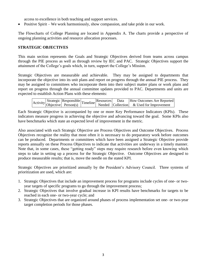access to excellence in both teaching and support services.

Positive Spirit – We work harmoniously, show compassion, and take pride in our work.

 The Flowcharts of College Planning are located in Appendix A. The charts provide a perspective of ongoing planning activities and resource allocation processes.

#### **STRATEGIC OBJECTIVES**

 through the PIE process as well as through review by IEC and PAC. Strategic Objectives support the This main section represents the Goals and Strategic Objectives derived from teams across campus attainment of the College's goals which, in turn, support the College's Mission.

 Strategic Objectives are measurable and achievable. They may be assigned to departments that incorporate the objective into its unit plans and report on progress through the annual PIE process. They may be assigned to committees who incorporate them into their subject matter plans or work plans and report on progress through the annual committee updates provided to PAC. Departments and units are expected to establish Action Plans with these elements:

|  |  |  | $\begin{array}{ l l }\n \hline\n \end{array}$ Activity Strategic Responsible Timeline Resources Data How Outcomes Are Reported Dependence Deta Collection & Used for Improvement |
|--|--|--|----------------------------------------------------------------------------------------------------------------------------------------------------------------------------------|

 Each Strategic Objective is accompanied by one or more Key Performance Indicators (KPIs). These indicators measure progress in achieving the objective and advancing toward the goal. Some KPIs also have benchmarks which state an expected level of improvement in the metric.

 Also associated with each Strategic Objective are Process Objectives and Outcome Objectives. Process Objectives recognize the reality that most often it is necessary to do preparatory work before outcomes can be produced. Departments or committees which have been assigned a Strategic Objective provide reports annually on these Process Objectives to indicate that activities are underway in a timely manner. Note that, in some cases, these "getting ready" steps may require research before even knowing which steps to take in setting up a process for the Strategic Objective. Outcome Objectives are designed to produce measurable results; that is, move the needle on the stated KPI.

 Strategic Objectives are prioritized annually by the President's Advisory Council. Three systems of prioritization are used, which are:

- 1. Strategic Objectives that include an improvement process for programs include cycles of one- or twoyear targets of specific programs to go through the improvement process;
- 2. Strategic Objectives that involve gradual increase in KPI results have benchmarks for targets to be reached in each one- or two-year cycle; and
- 3. Strategic Objectives that are organized around phases of process implementation set one- or two-year target completion periods for those phases.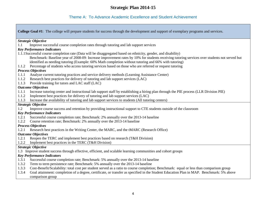# Theme A: To Advance Academic Excellence and Student Achievement

 **College Goal #1**: The college will prepare students for success through the development and support of exemplary programs and services. 1.1.1 Analyze current tutoring practices and service delivery methods (Learning Assistance Center) 1.1.2 Implement best practices for delivery of tutoring and lab support services (LAC) *Strategic Objective*  1.1 Improve successful course completion rates through tutoring and lab support services *Key Performance Indicators*  1.1.1Successful course completion rate (Data will be disaggregated based on ethnicity, gender, and disability) Benchmark: Baseline year of 2008-09: Increase improvement rates by 10% for students receiving tutoring services over students not served but identified as needing tutoring (Example: 60% Math completion without tutoring and 66% with tutoring) 1.1.2 Percentage of students who access tutoring services based on those who are referred or request tutoring *Process Objectives*  1.1.2 Research best practices for delivery of tutoring and lab support services (LAC) 1.1.3 Provide training for tutors and LAC staff (LAC) *Outcome Objectives*  1.1.1 Increase tutoring center and instructional lab support staff by establishing a hiring plan through the PIE process (LLR Division PIE) 1.1.3 Increase the availability of tutoring and lab support services to students (All tutoring centers) *Strategic Objective*  1.2 Improve course success and retention by providing instructional support to CTE students outside of the classroom *Key Performance Indicators*  1.2.1 Successful course completion rate; Benchmark: 2% annually over the 2013-14 baseline 1.2.2 Course retention rate; Benchmark: 2% annually over the 2013-14 baseline *Process Objectives*  1.2.1 Research best practices in the Writing Center, the MARC, and the tMARC (Research Office) *Outcome Objectives*  1.2.1 Reopen the TERC and implement best practices based on research (T&H Division) 1.2.2 Implement best practices in the TERC (T&H Division) *Strategic Objective*  1.3 Improve student success through effective, efficient, and scalable learning communities and cohort groups *Key Performance Indicators*  1.3.1 Successful course completion rate; Benchmark: 5% annually over the 2013-14 baseline 1.3.2 Term to term persistence rate; Benchmark: 5% annually over the 2013-14 baseline 1.3.3 Cost-Benefit/Scalability: total cost per student served as a ratio to course completion; Benchmark: equal or less than comparison group 1.3.4 Goal attainment: completion of a degree, certificate, or transfer as specified in the Student Education Plan in MAP. Benchmark: 5% above comparison group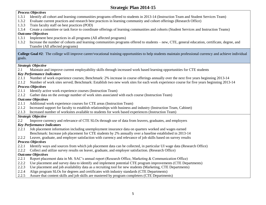#### *Process Objectives*

- 1.3.1 Identify all cohort and learning communities programs offered to students in 2013-14 (Instruction Team and Student Services Team)
- 1.3.2 Evaluate current practices and research best practices in learning community and cohort offerings (Research Office)
- 1.3.3 Train faculty staff on best practices (POD)
- 1.3.4 Create a committee or task force to coordinate offerings of learning communities and cohorts (Student Services and Instruction Teams)

#### *Outcome Objectives*

- 1.3.1 Implement best practices in all programs (All affected programs)
- 1.3.2 Increase the number of cohorts and learning communities programs offered to students new, CTE, general education, certificate, degree, and Transfer (All affected programs)

 **College Goal #2**: The college will improve career/vocational training opportunities to help students maintain professional currency and achieve individual goals.

# *Strategic Objective*

2.1 Maintain and improve current employability skills through increased work based learning opportunities for CTE students

# *Key Performance Indicators*

- 2.1.1 Number of work experience courses; Benchmark: 2% increase in course offerings annually over the next five years beginning 2013-14
- 2.1.2 Number of work sites served; Benchmark: Establish two new work sites for each work experience course for five years beginning 2013-14

# *Process Objectives*

- 2.1.1 Identify active work experience courses (Instruction Team)
- 2.1.2 Gather data on the average number of work sites associated with each course (Instruction Team)

# *Outcome Objectives*

- 2.1.1 Additional work experience courses for CTE areas (Instruction Team)
- 2.1.2 Increased support for faculty to establish relationships with business and industry (Instruction Team, Cabinet)
- 2.1.3 Increased number of worksites available to students for work based experiences (Instruction Team)

# *Strategic Objective*

2.2 Improve currency and relevance of CTE SLOs through use of data from leavers, graduates, and employers

# *Key Performance Indicators*

- 2.2.1 Job placement information including unemployment insurance data on quarters worked and wages earned Benchmark: Increase job placement for CTE students by 2% annually over a baseline established in 2013-14
- 2.2.2 Leaver, graduate, and employer satisfaction with currency and relevance of job skills based on survey results

# *Process Objectives*

- 2.2.1 Identify ways and sources from which job placement data can be collected, in particular UI wage data (Research Office)
- 2.2.2 Collect and utilize survey results on leaver, graduate, and employer satisfaction. (Research Office)

# *Outcome Objectives*

- 2.2.1 Report placement data in Mt. SAC's annual report (Research Office, Marketing & Communication Office)
- 2.2.2 Use placement and survey data to identify and implement potential CTE program improvements (CTE Departments)
- 2.2.3 Use placement and job availability data as a recruiting tool for new students (Marketing, CTE Departments)
- 2.2.4 Align program SLOs for degrees and certificates with industry standards (CTE Departments)
- 2.2.5 Assure that content skills and job skills are mastered by program completers (CTE Departments)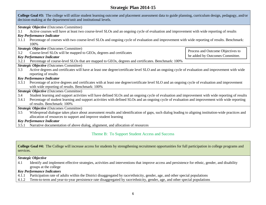| College Goal #3: The college will utilize student learning outcome and placement assessment data to guide planning, curriculum design, pedagogy, and/or<br>decision-making at the department/unit and institutional levels. |                                                                                                                                                     |                                   |  |
|-----------------------------------------------------------------------------------------------------------------------------------------------------------------------------------------------------------------------------|-----------------------------------------------------------------------------------------------------------------------------------------------------|-----------------------------------|--|
|                                                                                                                                                                                                                             | Strategic Objective (Outcomes Committee)                                                                                                            |                                   |  |
| 3.1                                                                                                                                                                                                                         | Active courses will have at least two course-level SLOs and an ongoing cycle of evaluation and improvement with wide reporting of results           |                                   |  |
|                                                                                                                                                                                                                             | <b>Key Performance Indicator</b>                                                                                                                    |                                   |  |
| 3.1.1                                                                                                                                                                                                                       | Percentage of courses with two course-level SLOs and ongoing cycle of evaluation and improvement with wide reporting of results. Benchmark:         |                                   |  |
|                                                                                                                                                                                                                             | 100%                                                                                                                                                |                                   |  |
|                                                                                                                                                                                                                             | <b>Strategic Objective (Outcomes Committee)</b>                                                                                                     |                                   |  |
| 3.2                                                                                                                                                                                                                         | Course-level SLOs will be mapped to GEOs, degrees and certificates                                                                                  | Process and Outcome Objectives to |  |
|                                                                                                                                                                                                                             | <b>Key Performance Indicator</b>                                                                                                                    | be added by Outcomes Committee.   |  |
| 3.2.1                                                                                                                                                                                                                       | Percentage of course-level SLOs that are mapped to GEOs, degrees and certificates. Benchmark: 100%                                                  |                                   |  |
|                                                                                                                                                                                                                             | <b>Strategic Objective</b> (Outcomes Committee)                                                                                                     |                                   |  |
| 3.3                                                                                                                                                                                                                         | Active degrees and certificates will have at least one degree/certificate level SLO and an ongoing cycle of evaluation and improvement with wide    |                                   |  |
|                                                                                                                                                                                                                             | reporting of results                                                                                                                                |                                   |  |
| <b>Key Performance Indicator</b>                                                                                                                                                                                            |                                                                                                                                                     |                                   |  |
| Percentage of active degrees and certificates with at least one degree/certificate level SLO and an ongoing cycle of evaluation and improvement<br>3.3.1                                                                    |                                                                                                                                                     |                                   |  |
| with wide reporting of results. Benchmark: 100%                                                                                                                                                                             |                                                                                                                                                     |                                   |  |
| Strategic Objective (Outcomes Committee)                                                                                                                                                                                    |                                                                                                                                                     |                                   |  |
| Student learning and support activities will have defined SLOs and an ongoing cycle of evaluation and improvement with wide reporting of results<br>3.4                                                                     |                                                                                                                                                     |                                   |  |
| Percentage of student learning and support activities with defined SLOs and an ongoing cycle of evaluation and improvement with wide reporting<br>3.4.1                                                                     |                                                                                                                                                     |                                   |  |
| of results. Benchmark: 100%                                                                                                                                                                                                 |                                                                                                                                                     |                                   |  |
| <b>Strategic Objective</b> (Outcomes Committee)                                                                                                                                                                             |                                                                                                                                                     |                                   |  |
| 3.5                                                                                                                                                                                                                         | Widespread dialogue takes place about assessment results and identification of gaps, such dialog leading to aligning institution-wide practices and |                                   |  |
| allocation of resources to support and improve student learning                                                                                                                                                             |                                                                                                                                                     |                                   |  |
| <b>Key Performance Indicator</b>                                                                                                                                                                                            |                                                                                                                                                     |                                   |  |
| Narrative documentation of above dialog, alignment, and allocation of resources<br>3.5.1                                                                                                                                    |                                                                                                                                                     |                                   |  |

#### Theme B: To Support Student Access and Success

**College Goal #4:** The College will increase access for students by strengthening recruitment opportunities for full participation in college programs and services.

#### *Strategic Objective*

4.1 Identify and implement effective strategies, activities and interventions that improve access and persistence for ethnic, gender, and disability groups at the college

#### *Key Performance Indicators*

- 4.1.1 Participation rate of adults within the District disaggregated by race/ethnicity, gender, age, and other special populations
- 4.1.2 Term-to-term and year-to-year persistence rate disaggregated by race/ethnicity, gender, age, and other special populations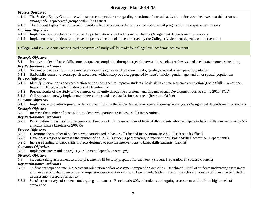#### 5.2.1 Participation in basic skills interventions. Benchmark: Increase number of basic skills students who participate in basic skills interventions by 5% *Process Objectives*  4.1.1 The Student Equity Committee will make recommendations regarding recruitment/outreach activities to increase the lowest participation rate among under-represented groups within the District 4.1.2 The Student Equity Committee will identify effective practices that support persistence and progress for under-prepared students *Outcome Objectives*  4.1.1 Implement best practices to improve the participation rate of adults in the District (Assignment depends on intervention) 4.1.2 Implement best practices to improve the persistence rate of students served by the College (Assignment depends on intervention) **College Goal #5:** Students entering credit programs of study will be ready for college level academic achievement. *Strategic Objective*  5.1 Improve students' basic skills course sequence completion through targeted interventions, cohort pathways, and accelerated course scheduling *Key Performance Indicators*  5.1.1 Successful basic skills course completion rates disaggregated by race/ethnicity, gender, age, and other special populations 5.1.2 Basic skills course-to-course persistence rates without stop-out disaggregated by race/ethnicity, gender, age, and other special populations *Process Objectives*  5.1.1 Identify interventions and acceleration options designed to improve students' basic skills course sequence completion (Basic Skills Committee, Research Office, Affected Instructional Departments) 5.1.2 Present results of the study to the campus community through Professional and Organizational Development during spring 2015 (POD) 5.1.3 Collect data on newly implemented interventions and use data for improvement (Research Office) *Outcome Objectives*  5.1.1 Implement interventions proven to be successful during the 2015-16 academic year and during future years (Assignment depends on intervention) *Strategic Objective*  5.2 Increase the number of basic skills students who participate in basic skills interventions *Key Performance Indicators*  annually from a baseline of 2008-09 *Process Objectives*  5.2.1 Determine the number of students who participated in basic skills funded interventions in 2008-09 (Research Office) 5.2.2 Develop strategies to increase the number of basic skills students participating in interventions (Basic Skills Committee; Departments) 5.2.3 Increase funding to basic skills projects designed to provide interventions to basic skills students (Cabinet) *Outcomes Objectives*  5.2.1 Implement successful strategies (Assignment depends on strategy) *Strategic Objective*  5.3 Students taking assessment tests for placement will be fully prepared for each test. (Student Preparation & Success Council) *Key Performance Indicators*  5.3.1 Student participation rate in assessment orientation and/or assessment preparation activities. Benchmark: 80% of students undergoing assessment will have participated in an online or in-person assessment orientation. Benchmark: 60% of recent high school graduates will have participated in an assessment preparation activity 5.3.2 Satisfaction surveys of students undergoing assessment. Benchmark: 80% of students undergoing assessment will indicate high levels of preparation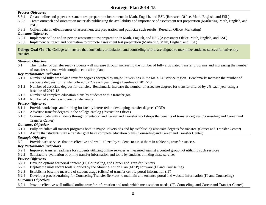#### *Process Objectives*

- 5.3.1 Create online and paper assessment test preparation instruments in Math, English, and ESL (Research Office, Math, English, and ESL)
- 5.3.2 Create outreach and orientation materials publicizing the availability and importance of assessment test preparation (Marketing, Math, English, and ESL)
- 5.3.3 Collect data on effectiveness of assessment test preparation and publicize such results (Research Office, Marketing)

#### *Outcome Objectives*

- 5.3.1 Implement online and in-person assessment test preparation in Math, English, and ESL (Assessment Office, Math, English, and ESL)
- 5.3.2 Implement outreach and orientation to promote assessment test preparation (Marketing, Math, English, and ESL)

**College Goal #6:** The College will ensure that curricular, articulation, and counseling efforts are aligned to maximize students' successful university transfer.

#### *Strategic Objective*

 6.1 The number of transfer ready students will increase through increasing the number of fully articulated transfer programs and increasing the number of transfer students with complete education plans

# *Key Performance Indicators*

- 6.1.1 Number of fully articulated transfer degrees accepted by major universities in the Mt. SAC service region. Benchmark: Increase the number of associate degrees for transfer offered by 2% each year using a baseline of 2012-13
- 6.1.2 Number of associate degrees for transfer. Benchmark: Increase the number of associate degrees for transfer offered by 2% each year using a baseline of 2012-13
- 6.1.3 Number of complete education plans by students with a transfer goal
- 6.1.4 Number of students who are transfer ready

# *Process Objectives*

- 6.1.1 Provide workshops and training for faculty interested in developing transfer degrees (POD)
- 6.1.2 Advertise transfer degrees in the college catalog (Instruction Office)
- 6.1.3 Communicate with students through orientation and Career and Transfer workshops the benefits of transfer degrees (Counseling and Career and Transfer Center)

#### *Outcomes Objectives*

- 6.1.1 Fully articulate all transfer programs both to major universities and by establishing associate degrees for transfer. (Career and Transfer Center)
- 6.1.2 Assure that students with a transfer goal have complete education plans.(Counseling and Career and Transfer Center)

# *Strategic Objective*

6.2 Provide web services that are effective and well utilized by students to assist them in achieving transfer success

# *Key Performance Indicators*

- 6.2.1 Improved transfer readiness for students utilizing online services as measured against a control group not utilizing such services
- 6.2.2 Satisfactory evaluation of online transfer information and tools by students utilizing these services

# *Process Objectives*

- 6.2.1 Develop options for portal content (IT, Counseling, and Career and Transfer Center)
- 6.2.2 Deploy the most recent tools supplied by the Mountie Action Plan (MAP) software (IT and Counseling)
- 6.2.3 Establish a baseline measure of student usage (clicks) of transfer centric portal information (IT)
- 6.2.4 Develop a process/training for Counseling/Transfer Services to maintain and enhance portal and website information (IT and Counseling) *Outcomes Objectives*
- 6.2.1 Provide effective well utilized online transfer information and tools which meet student needs. (IT, Counseling, and Career and Transfer Center)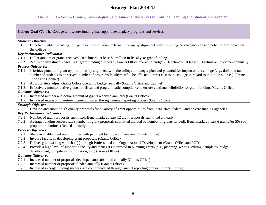#### Theme C: To Secure Human, Technological, and Financial Resources to Enhance Learning and Student Achievement

**College Goal #7:** The College will secure funding that supports exemplary programs and services.

#### *Strategic Objective*

7.1 Effectively utilize existing college resources to secure external funding by alignment with the college's strategic plan and potential for impact on the college

#### *Key Performance Indicators:*

- 7.1.1 Dollar amount of grants received. Benchmark: at least \$6 million in fiscal year grant funding
- 7.1.2 Return on investment (fiscal year grant funding divided by Grants Office operating budget). Benchmark: at least 15:1 return on investment annually

#### *Process Objectives:*

- 7.1.1 Prioritize pursuit of grant opportunities by alignment with the college's strategic plan and potential for impact on the college (e.g., dollar amount, number of students to be served, number of programs/faculty/staff to be affected, lowest cost to the college in regard to in-kind resources) (Grants Office and Cabinet)
- 7.1.2 Appropriately adjust Grants Office operating budget annually (Grants Office and Cabinet)
- 7.1.3 Effectively monitor active grants for fiscal and programmatic compliance to ensure continued eligibility for grant funding. (Grants Office)

#### *Outcome Objectives:*

- 7.1.1 Increased number and dollar amount of grants received annually (Grants Office)
- 7.1.2 Increased return on investment communicated through annual reporting process (Grants Office)

#### *Strategic Objective*

7.2 Develop and submit high-quality proposals for a variety of grant opportunities from local, state, federal, and private funding agencies

#### *Key Performance Indicators*

- 7.2.1 Number of grant proposals submitted. Benchmark: at least 12 grant proposals submitted annually
- 7.2.2 Average funding success rate (number of grant proposals submitted divided by number of grants funded). Benchmark: at least 6 grants (or 50% of proposals submitted) funded annually

#### *Process Objectives*

- 7.2.1 Share available grant opportunities with pertinent faculty and managers (Grants Office)
- 7.2.2 Involve faculty in developing grant proposals (Grants Office)
- 7.2.3 Deliver grant writing workshop(s) through Professional and Organizational Development (Grants Office and POD)
- 7.2.4 Provide a high level of support to faculty and managers interested in pursuing grants (e.g., planning, writing, editing, templates, budget development, compilation, submission, etc.) (Grants Office)

#### *Outcome Objectives*

- 7.2.1 Increased number of proposals developed and submitted annually (Grants Office)
- 7.2.2 Increased number of proposals funded annually (Grants Office)
- 7.2.3 Increased average funding success rate communicated through annual reporting process (Grants Office)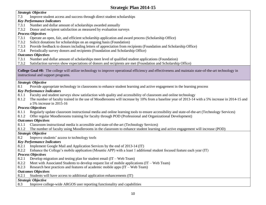#### *Strategic Objective*

7.3 Improve student access and success through direct student scholarships

#### *Key Performance Indicators*

- 7.3.1 Number and dollar amount of scholarships awarded annually
- 7.3.2 Donor and recipient satisfaction as measured by evaluation surveys

# *Process Objectives*

- 7.3.1 Operate an open, fair, and efficient scholarship application and award process (Scholarship Office)
- 7.3.2 Solicit donations for scholarships on an ongoing basis (Foundation)
- 7.3.3 Provide feedback to donors including letters of appreciation from recipients (Foundation and Scholarship Office)
- 7.3.4 Periodically survey donors and recipients (Foundation and Scholarship Office)

# *Outcomes Objectives*

- 7.3.1 Number and dollar amount of scholarships meet level of qualified student applications (Foundation)
- 7.3.2 Satisfaction surveys show expectations of donors and recipients are met (Foundation and Scholarship Office)

**College Goal #8:** The college will utilize technology to improve operational efficiency and effectiveness and maintain state-of-the-art technology in instructional and support programs.

# *Strategic Objective*

8.1 Provide appropriate technology in classrooms to enhance student learning and active engagement in the learning process

# *Key Performance Indicators*

- 8.1.1 Faculty and student surveys show satisfaction with quality and accessibility of classroom and online technology
- a 5% increase in 2015-16 8.1.2 The number of faculty trained in the use of Moodlerooms will increase by 10% from a baseline year of 2013-14 with a 5% increase in 2014-15 and

# *Process Objectives*

- 8.1.1 Regularly update classroom instructional media and online learning tools to ensure accessibility and state-of-the-art (Technology Services)
- 8.1.2 Offer regular Moodlerooms training for faculty through POD (Professional and Organizational Development)

# *Outcomes Objectives*

- 8.1.1 Classroom instructional media is accessible and state-of-the-art (Technology Services)
- 8.1.2 The number of faculty using Moodlerooms in the classroom to enhance student learning and active engagement will increase (POD)

# *Strategic Objective*

8.2 Improve students' access to technology tools

# *Key Performance Indicators*

- 8.2.1 Implement Google Mail and Application Services by the end of 2013-14 (IT)
- 8.2.2 Enhance the College's mobile application (Mountie APP) with a least 1 additional student focused feature each year (IT)

# *Process Objectives*

- 8.2.1 Develop migration and testing plan for student email (IT Web Team)
- 8.2.2 Meet with Associated Students to develop request list of mobile applications (IT Web Team)
- 8.2.3 Research best practices and features of academic mobile apps (IT Web Team)

# *Outcomes Objectives*

8.2.1 Students will have access to additional application enhancements (IT)

# *Strategic Objective*

8.3 Improve college-wide ARGOS user reporting functionality and capabilities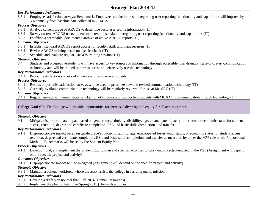#### *Key Performance Indicators*

 8.3.1 Employee satisfaction surveys; Benchmark: Employee satisfaction results regarding user reporting functionality and capabilities will improve by 5% annually from baseline data collected in 2014-15

#### *Process Objectives*

- 8.3.1 Analyze current usage of ARGOS to determine basic user profile information (IT)
- 8.3.2 Survey current ARGOS users to determine overall satisfaction regarding user reporting functionality and capabilities (IT)
- 8.3.3 Establish a searchable, documented archive of active ARGOS reports (IT)

#### *Outcome Objectives*

- 8.3.1 Establish standard ARGOS report access for faculty, staff, and manager users (IT)
- 8.3.2 Revise ARGOS training based on user feedback (IT)
- 8.3.3 Schedule and evaluate regular ARGOS training sessions (IT)

#### *Strategic Objective*

8.4 Students and prospective students will have access to key sources of information through accessible, user-friendly, state-of-the-art communication technology and will be trained in how to access and effectively use this technology

#### *Key Performance Indicators*

8.4.1 Periodic satisfaction surveys of students and prospective students

#### *Process Objectives*

- 8.4.1 Results of periodic satisfaction surveys will be used to prioritize new and revised communication technology (IT)
- 8.4.2 Currently available communication technology will be regularly reviewed for use at Mt. SAC (IT)

#### *Outcome Objectives*

8.4.1 Regular surveys will demonstrate satisfaction of students and prospective students with Mt. SAC's communication through technology (IT)

#### **College Goal # 9:** The College will provide opportunities for increased diversity and equity for all across campus.

#### *Strategic Objective*

9.1 Mitigate disproportionate impact based on gender, race/ethnicity, disability, age, emancipated foster youth status, or economic status for student access, retention, degree and certificate completion, ESL and basic skills completion, and transfer

#### *Key Performance Indicators*

9.1.1 Disproportionate impact based on gender, race/ethnicity, disability, age, emancipated foster youth status, or economic status for student access, retention, degree and certificate completion, ESL and basic skills completion, and transfer as measured by either the 80% rule or the Proportional Method. Benchmarks will be set by the Student Equity Plan

#### *Process Objectives*

9.1.1 Develop, fund, and implement the Student Equity Plan and specific activities to carry out projects identified in the Plan (Assignment will depend on the specific project and activity)

#### *Outcomes Objectives*

9.1.1 Disproportionate impact will be mitigated (Assignment will depend on the specific project and activity)

#### *Strategic Objective*

9.3.1 Maintain a college workforce whose diversity assists the college in carrying out its mission

#### *Key Performance Indicators*

- 9.3.1 Develop a draft plan no later than Fall 2014 (Human Resources)
- 9.3.2 Implement the plan no later than Spring 2015 (Human Resources)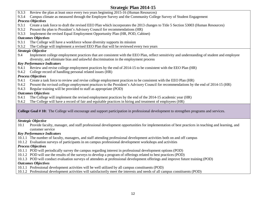- 9.3.3 Review the plan at least once every two years beginning 2015-16 (Human Resources)
- 9.3.4 Campus climate as measured through the Employee Survey and the Community College Survey of Student Engagement

#### *Process Objectives*

- 9.3.1 Create a task force to draft the revised EEO Plan which incorporates the 2013 changes to Title 5 Section 53003 (Human Resources)
- 9.3.2 Present the plan to President's Advisory Council for recommendations (HR)
- 9.3.3 Implement the revised Equal Employment Opportunity Plan (HR, POD, Cabinet)

# *Outcomes Objectives*

- 9.3.1 The College will have a workforce whose diversity supports its mission
- 9.3.2 The College will implement a revised EEO Plan that will be reviewed every two years

# *Strategic Objective*

9.4 Implement college employment practices that are consistent with the EEO Plan, reflect sensitivity and understanding of student and employee diversity, and eliminate bias and unlawful discrimination in the employment process

# *Key Performance Indicators*

- 9.4.1 Review and revise college employment practices by the end of 2014-15 to be consistent with the EEO Plan (HR)
- 9.4.2 College record of handling personal related issues (HR)

# *Process Objectives*

- 9.4.1 Create a task force to review and revise college employment practices to be consistent with the EEO Plan (HR)
- 9.4.2 Present the revised college employment practices to the President's Advisory Council for recommendations by the end of 2014-15 (HR)
- 9.4.3 Regular training will be provided to staff as appropriate (POD)

# *Outcomes Objectives*

- 9.4.1 The College will implement the revised employment practices by the end of the 2014-15 academic year (HR)
- 9.4.2 The College will have a record of fair and equitable practices in hiring and treatment of employees (HR)

**College Goal # 10:** The College will encourage and support participation in professional development to strengthen programs and services.

# *Strategic Objective*

 10.1 Provide faculty, manager, and staff professional development opportunities for implementation of best practices in teaching and learning, and customer service

# *Key Performance Indicators*

- 10.1.1 The number of faculty, managers, and staff attending professional development activities both on and off campus
- 10.1.2 Evaluation surveys of participants in on campus professional development workshops and activities

# *Process Objectives*

- 10.1.1 POD will periodically survey the campus regarding interest in professional development options (POD)
- 10.1.2 POD will use the results of the surveys to develop a program of offerings related to best practices (POD)
- 10.1.3 POD will conduct evaluation surveys of attendees at professional development offerings and improve future training (POD)

# *Outcomes Objectives*

- 10.1.1 Professional development activities will be well utilized by all campus constituents (POD)
- 10.1.2 Professional development activities will satisfactorily meet the interests and needs of all campus constituents (POD)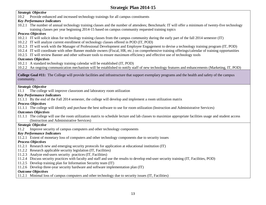#### *Strategic Objective*

10.2 Provide enhanced and increased technology trainings for all campus constituents

#### *Key Performance Indicators*

 10.2.1 The number of annual technology training classes and the number of attendees; Benchmark: IT will offer a minimum of twenty-five technology training classes per year beginning 2014-15 based on campus community requested training topics

#### *Process Objectives*

- 10.2.1 IT will solicit ideas for technology training classes from the campus community during the early part of the fall 2014 semester (IT)
- 10.2.2 IT will analyze current enrollment of technology classes offered in POD (IT, POD)
- 10.2.3 IT will work with the Manager of Professional Development and Employee Engagement to devise a technology training program (IT, POD)
- 10.2.4 IT will coordinate with other Banner module owners (Fiscal, HR, etc.) on comprehensive training offerings/calendar of training opportunities
- 10.2.5 IT will review Banner and other software tools to ensure maximum efficiency and effective use of technology tools

#### *Outcomes Objectives*

10.2.1 A standard technology training calendar will be established (IT, POD)

10.2.2 An ongoing communication mechanism will be established to notify staff of new technology features and enhancements (Marketing, IT, POD)

**College Goal #11:** The College will provide facilities and infrastructure that support exemplary programs and the health and safety of the campus community.

#### *Strategic Objective*

11.1 The college will improve classroom and laboratory room utilization

#### *Key Performance Indicators*

11.1.1 By the end of the Fall 2014 semester, the college will develop and implement a room utilization matrix

#### *Process Objectives*

11.1.1 The college will identify and purchase the best software to use for room utilization (Instruction and Administrative Services)

#### *Outcomes Objectives*

 11.1.1 The college will use the room utilization matrix to schedule lecture and lab classes to maximize appropriate facilities usage and student access (Instruction and Administrative Services)

#### *Strategic Objective*

11.2 Improve security of campus computers and other technology components

#### *Key Performance Indicators*

11.2.1 Extent of monetary loss of computers and other technology components due to security issues

#### *Process Objectives*

- 11.2.1 Research new and emerging security protocols for application at educational institution (IT)
- 11.2.2 Research applicable security legislation (IT, Facilities)
- 11.2.3 Analyze end-users security practices (IT, Facilities)
- 11.2.4 Discuss security practices with faculty and staff and use the results to develop end-user security training (IT, Facilities, POD)
- 11.2.5 Develop training plan for Information Security team (IT)
- 11.2.6 Develop three-year security hardware and software implementation plan (IT)

#### *Outcome Objectives*

11.2.1 Minimal loss of campus computers and other technology due to security issues (IT, Facilities)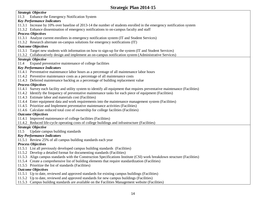| <b>Strategic Objective</b>                                                                                                   |
|------------------------------------------------------------------------------------------------------------------------------|
| Enhance the Emergency Notification System<br>11.3                                                                            |
| <b>Key Performance Indicators</b>                                                                                            |
| 11.3.1 Increase by 10% over baseline of 2013-14 the number of students enrolled in the emergency notification system         |
| 11.3.2 Enhance dissemination of emergency notifications to on-campus faculty and staff                                       |
| <b>Process Objectives</b>                                                                                                    |
| 11.3.1 Analyze current enrollees in emergency notification system (IT and Student Services)                                  |
| 11.3.2 Research alternate on-campus solutions for emergency notifications (IT)                                               |
| <b>Outcome Objectives</b>                                                                                                    |
| 11.3.1 Target new students with information on how to sign-up for the system (IT and Student Services)                       |
| 11.3.2 Collaboratively design and implement an on-campus notification system (Administrative Services)                       |
| <b>Strategic Objective</b>                                                                                                   |
| Expand preventative maintenance of college facilities<br>11.4                                                                |
| <b>Key Performance Indicators</b>                                                                                            |
| 11.4.1 Preventative maintenance labor hours as a percentage of all maintenance labor hours                                   |
| 11.4.2 Preventive maintenance costs as a percentage of all maintenance costs                                                 |
| 11.4.3 Deferred maintenance backlog as a percentage of building replacement value                                            |
| <b>Process Objectives</b>                                                                                                    |
| 11.4.1 Survey each facility and utility system to identify all equipment that requires preventative maintenance (Facilities) |
| 11.4.2 Identify the frequency of preventative maintenance tasks for each piece of equipment (Facilities)                     |
| 11.4.3 Estimate labor and materials cost (Facilities)                                                                        |
| 11.4.4 Enter equipment data and work requirements into the maintenance management system (Facilities)                        |
| 11.4.5 Prioritize and Implement preventative maintenance activities (Facilities)                                             |
| 11.4.6 Calculate reduced total cost of ownership for college facilities (Facilities)                                         |
| <b>Outcome Objectives</b>                                                                                                    |
| 11.4.1 Improved maintenance of college facilities (Facilities)                                                               |
| 11.4.2 Reduced life-cycle operating costs of college buildings and infrastructure (Facilities)                               |
| <b>Strategic Objective</b>                                                                                                   |
| Update campus building standards<br>11.5                                                                                     |
| <b>Key Performance Indicators</b>                                                                                            |
| 11.5.1 Review 25% of all campus building standards each year                                                                 |
| <b>Process Objectives</b>                                                                                                    |
| 11.5.1 List all previously developed campus building standards (Facilities)                                                  |
| 11.5.2 Develop a detailed format for documenting standards (Facilities)                                                      |
| 11.5.3 Align campus standards with the Construction Specifications Institute (CSI) work breakdown structure (Facilities)     |
| 11.5.4 Create a comprehensive list of building elements that require standardization (Facilities)                            |
| 11.5.5 Prioritize the list of standards (Facilities)                                                                         |
| <b>Outcome Objectives</b>                                                                                                    |
| 11.5.1 Up to date, reviewed and approved standards for existing campus buildings (Facilities)                                |
| 11.5.2 Up to date, reviewed and approved standards for new campus buildings (Facilities)                                     |
| 11.5.3 Campus building standards are available on the Facilities Management website (Facilities)                             |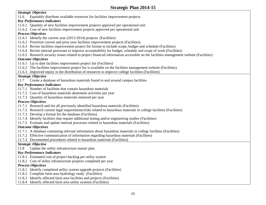#### *Strategic Objective*

11.6 Equitably distribute available resources for facilities improvement projects

#### *Key Performance Indicators*

- 11.6.1 Quantity of new facilities improvement projects approved per operational unit
- 11.6.2 Cost of new facilities improvement projects approved per operational unit

#### *Process Objectives*

- 11.6.1 Identify the current year (2013-2014) projects (Facilities)
- 11.6.2 Prioritize current and prior year facilities improvement projects (Facilities)
- 11.6.3 Revise facilities improvement project list format to include scope, budget and schedule (Facilities)
- 11.6.4 Revise internal processes to improve accountability for budget, schedule and scope of work (Facilities)
- 11.6.5 Research security issues related to project financial information accessible on the facilities management website (Facilities)

# *Outcome Objectives*

- 11.6.1 Up to date facilities improvement project list (Facilities)
- 11.6.2 The facilities improvement project list is available on the facilities management website (Facilities)

11.6.3 Improved equity in the distribution of resources to improve college facilities (Facilities)

# *Strategic Objective*

11.7 Create a database of hazardous materials found in and around campus facilities

# *Key Performance Indicators*

- 11.7.1 Number of facilities that contain hazardous materials
- 11.7.2 Cost of hazardous materials abatement activities per year
- 11.7.3 Quantity of hazardous materials removed per year

# *Process Objectives*

- 11.7.1 Research and list all previously identified hazardous materials (Facilities)
- 11.7.2 Research current legal requirements/risks related to hazardous materials in college facilities (Facilities)
- 11.7.3 Develop a format for the database (Facilities)
- 11.7.4 Identify facilities that require additional testing and/or engineering studies (Facilities)
- 11.7.5 Evaluate and update internal processes related to hazardous materials (Facilities)

# *Outcome Objectives*

- 11.7.1 A database containing relevant information about hazardous materials in college facilities (Facilities)
- 11.7.2 Effective communication of information regarding hazardous materials (Facilities)
- 11.7.3 Documented procedures related to hazardous materials (Facilities)

# *Strategic Objective*

11.8 Update the utility infrastructure master plan

# *Key Performance Indicators*

- 11.8.1 Estimated cost of project backlog per utility system
- 11.8.2 Cost of utility infrastructure projects completed per year

# *Process Objectives*

- 11.8.1 Identify completed utility system upgrade projects (Facilities)
- 11.8.2 Complete farm area hydrology study (Facilities)
- 11.8.3 Identify affected farm area facilities and projects (Facilities)
- 11.8.4 Identify affected farm area utility systems (Facilities)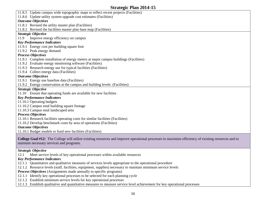11.8.5 Update campus wide topographic maps to reflect recent projects (Facilities) 11.8.6 Update utility system upgrade cost estimates (Facilities) *Outcome Objectives*  11.8.1 Revised the utility master plan (Facilities) 11.8.2 Revised the facilities master plan base map (Facilities) *Strategic Objective*  11.9 Improve energy efficiency on campus *Key Performance Indicators*  11.9.1 Energy cost per building square foot 11.9.2 Peak energy demand *Process Objectives*  11.9.1 Complete installation of energy meters at major campus buildings (Facilities) 11.9.2 Evaluate energy monitoring software (Facilities) 11.9.3 Research energy use for typical facilities (Facilities) 11.9.4 Collect energy data (Facilities) *Outcome Objectives*  11.9.1 Energy use baseline data (Facilities) 11.9.2 Energy conservation at the campus and building levels (Facilities) *Strategic Objective*  11.10 Ensure that operating funds are available for new facilities *Key Performance Indicators*  11.10.1 Operating budgets 11.10.2 Campus total building square footage 11.10.3 Campus total landscaped area *Process Objectives*  11.10.1 Research facilities operating costs for similar facilities (Facilities) 11.10.2 Develop benchmark costs by area of operations (Facilities) *Outcome Objectives*  11.10.1 Budget models to fund new facilities (Facilities) **College Goal #12:** The College will utilize existing resources and improve operational processes to maximize efficiency of existing resources and to maintain necessary services and programs. *Strategic Objective*  12.1 Meet service levels of key operational processes within available resources

#### *Key Performance Indicators*

- 12.1.1 Quantitative and qualitative measures of services levels appropriate to the operational procedure
- 12.1.2 Resource levels (staff, facilities, equipment, supplies) necessary to maintain minimum service levels

*Process Objectives* (Assignments made annually to specific programs)

- 12.1.1 Identify key operational processes to be selected for each planning cycle
- 12.1.2 Establish minimum service levels for key operational processes
- 12.1.3 Establish qualitative and quantitative measures to measure service level achievement for key operational processes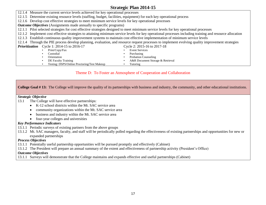12.1.1 Pilot selected strategies for cost effective strategies designed to meet minimum service levels for key operational processes • DE Faculty Training **• A&R Document Storage & Retrieval**  12.1.4 Measure the current service levels achieved for key operational processes 12.1.5 Determine existing resource levels (staffing, budget, facilities, equipment) for each key operational process 12.1.6 Develop cost effective strategies to meet minimum service levels for key operational processes *Outcome Objectives* (Assignments made annually to specific programs) 12.1.2 Implement cost effective strategies to attaining minimum service levels for key operational processes including training and resource allocation 12.1.3 Establish continuous quality improvement systems to maintain cost effective implementation of minimum service levels 12.1.4 Through the PIE process develop planning, evaluation, and resource request processes to implement evolving quality improvement strategies **Prioritization** Cycle 1: 2014-15 to 2016-17 Cycle 2: 2015-16 to 2017-18<br>
Print/Copy/Fax • Event Services • Custodial • Purchasing • Orientation • Probation Counseling • Testing: DSPS/Online Proctoring/Test Makeup • Tutoring

#### Theme D: To Foster an Atmosphere of Cooperation and Collaboration

**College Goal # 13:** The College will improve the quality of its partnerships with business and industry, the community, and other educational institutions.

#### *Strategic Objective*

- 13.1 The College will have effective partnerships:
	- K-12 school districts within the Mt. SAC service area
	- community organizations within the Mt. SAC service area
	- business and industry within the Mt. SAC service area
	- four-year colleges and universities

#### *Key Performance Indicators*

- 13.1.1 Periodic surveys of existing partners from the above groups
- 13.1.2 Mt. SAC managers, faculty, and staff will be periodically polled regarding the effectiveness of existing partnerships and opportunities for new or expanded partnerships

#### *Process Objectives*

- 13.1.1 Potentially useful partnership opportunities will be pursued promptly and effectively (Cabinet)
- 13.1.2 The President will prepare an annual summary of the extent and effectiveness of partnership activity (President's Office)

#### *Outcome Objectives*

13.1.1 Surveys will demonstrate that the College maintains and expands effective and useful partnerships (Cabinet)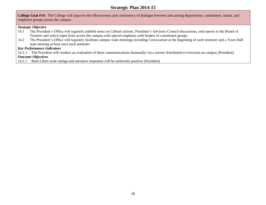**College Goal #14:** The College will improve the effectiveness and consistency of dialogue between and among departments, committees, teams, and employee groups across the campus.

#### *Strategic Objective*

- 14.1 The President's Office will regularly publish notes on Cabinet actions, President's Advisory Council discussions, and reports to the Board of Trustees and solicit input from across the campus with special emphasis with leaders of constituent groups
- 14.2 The President's Office will regularly facilitate campus wide meetings including Convocation at the beginning of each semester and a Town Hall type meeting at least once each semester

#### *Key Performance Indicators*

14.1.1 The President will conduct an evaluation of these communications biannually via a survey distributed to everyone on campus (President) *Outcome Objectives* 

14.1.1 Both Likert scale ratings and narrative responses will be uniformly positive (President)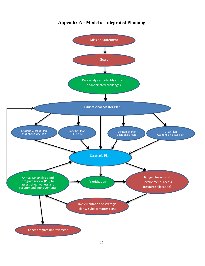<span id="page-20-0"></span>

# **Appendix A - Model of Integrated Planning**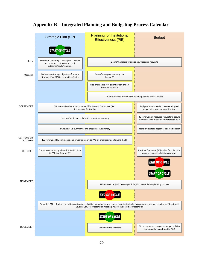# **Appendix B –** Integrated Planning and Budgeting Process Calendar **Integrated Planning and Budgeting Process Calendar**

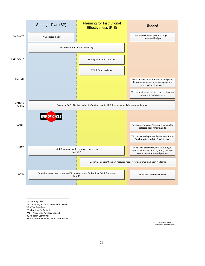

SP = Strategic Plan

- PIE = Planning for Institutional Effectiveness
- VP = Vice President
- PC = President's Cabinet
- PAC = President's Advisory Council
- BC = Budget Committee
- IEC = Institutional Effectiveness Committee

8.11.14 – SP Work Group<br>8.15.14 –Rev. SP Work Group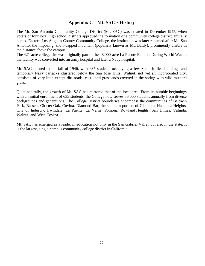# **Appendix C – Mt. SAC's History**

<span id="page-23-0"></span> The Mt. San Antonio Community College District (Mt. SAC) was created in December 1945, when voters of four local high school districts approved the formation of a community college district. Initially named Eastern Los Angeles County Community College, the institution was later renamed after Mt. San Antonio, the imposing, snow-capped mountain (popularly known as Mt. Baldy), prominently visible in the distance above the campus.

 The 421-acre college site was originally part of the 48,000-acre La Puente Rancho. During World War II, the facility was converted into an army hospital and later a Navy hospital.

 Mt. SAC opened in the fall of 1946, with 635 students occupying a few Spanish-tiled buildings and temporary Navy barracks clustered below the San Jose Hills. Walnut, not yet an incorporated city, consisted of very little except dirt roads, cacti, and grasslands covered in the spring with wild mustard grass.

 Quite naturally, the growth of Mt. SAC has mirrored that of the local area. From its humble beginnings with an initial enrollment of 635 students, the College now serves 56,000 students annually from diverse backgrounds and generations. The College District boundaries encompass the communities of Baldwin Park, Bassett, Charter Oak, Covina, Diamond Bar, the southern portion of Glendora, Hacienda Heights, City of Industry, Irwindale, La Puente, La Verne, Pomona, Rowland Heights, San Dimas, Valinda, Walnut, and West Covina.

 Mt. SAC has emerged as a leader in education not only in the San Gabriel Valley but also in the state. It is the largest, single-campus community college district in California.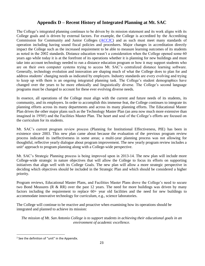# **Appendix D – Recent History of Integrated Planning at Mt. SAC**

<span id="page-24-0"></span> The College's integrated planning continues to be driven by its mission statement and its work aligns with its College goals and is driven by external factors. For example, the College is accredited by the Accrediting Commission for Community and Junior Colleges [\(ACCJC\)](http://www.accjc.org/) and as such must meet many standards of operation including having sound fiscal policies and procedures. Major changes in accreditation directly impact the College such as the increased requirement to be able to measure learning outcomes of its students as noted in the 2002 standards. Distance education wasn't a consideration when the College opened some 60 years ago while today it is at the forefront of its operations whether it is planning for new buildings and must take into account technology needed to run a distance education program or how it may support students who are on their own computer systems trying to access Mt. SAC's centralized distance learning software. Generally, technology evolution and innovation are shaping much of what the College does to plan for and address students' changing needs as indicated by employers. Industry standards are every evolving and trying to keep up with them is an ongoing integrated planning task. The College's student demographics have changed over the years to be more ethnically and linguistically diverse. The College's second language programs must be changed to account for these ever evolving diverse needs.

 In essence, all operations of the College must align with the current and future needs of its students, its community, and its employers. In order to accomplish this immense feat, the College continues to integrate its planning efforts across its many departments and across its many planning efforts. The Educational Master Plan drives the other major plans such as the Technology Master Plan (an area now much more extensive than imagined in 1950!) and the Facilities Master Plan. The heart and soul of the College's efforts are focused on the curriculum for its students.

 Mt. SAC's current program review process (Planning for Institutional Effectiveness, PIE) has been in existence since 2003. This new plan came about because the evaluation of the previous program review process indicated its ineffectiveness in some areas; a multi-year planning process was not allowing for thoughtful, reflective yearly dialogue about program improvement. The new yearly program review includes a unit<sup>2</sup> approach to program planning along with a College-wide perspective.

 Mt. SAC's Strategic Planning process is being improved upon in 2013-14. The new plan will include more College-wide strategic in nature objectives that will allow the College to focus its efforts on supporting initiatives that align well with its College Goals. The new plan will allow a more strategic perspective in deciding which objectives should be included in the Strategic Plan and which should be considered a higher priority.

 Program reviews, Educational Master Plans, and Facilities Master Plans drove the College's need to secure two Bond Measures ( $R \& RR$ ) over the past 12 years. The need for more buildings was driven by many factors including the requirement to replace  $60+$  year old facilities and the need for new buildings to accommodate innovative technology for curriculum, e.g., science laboratories.

The College will continue to be reactive and proactive when examining how its operations should be integrated and planned to achieve its mission:

 *environment of academic excellence. The mission of Mt. San Antonio College is to support students in achieving their educational goals in an* 

 $\overline{\phantom{a}}$ 

 $2$  See the definition of "unit" in the Appendix.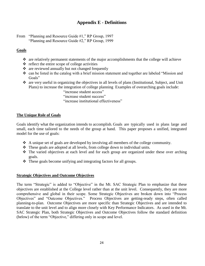# **Appendix E - Definitions**

<span id="page-25-0"></span>From "Planning and Resource Guide #1," RP Group, 1997 "Planning and Resource Guide #2," RP Group, 1999

#### **Goals**

- $\hat{\mathbf{v}}$  are relatively permanent statements of the major accomplishments that the college will achieve
- $\triangle$  reflect the entire scope of college activities
- $\triangle$  are reviewed annually but not changed frequently
- $\cdot$  can be listed in the catalog with a brief mission statement and together are labeled "Mission and Goals"
- are very useful in organizing the objectives in all levels of plans (Institutional, Subject, and Unit Plans) to increase the integration of college planning Examples of overarching goals include:
	- "increase student access"
	- "increase student success"
	- "increase institutional effectiveness"

#### **The Unique Role of Goals**

 Goals identify what the organization intends to accomplish. Goals are typically used in plans large and small, each time tailored to the needs of the group at hand. This paper proposes a unified, integrated model for the use of goals:

- A unique set of goals are developed by involving all members of the college community.
- $\hat{\mathbf{\cdot}}$  These goals are adopted at all levels, from college down to individual units.
- The varied objectives at each level and for each group are organized under these over arching goals.
- $\triangleleft$  These goals become unifying and integrating factors for all groups.

#### **Strategic Objectives and Outcome Objectives**

 The term "Strategic" is added to "Objective" in the Mt. SAC Strategic Plan to emphasize that these objectives are established at the College level rather than at the unit level. Consequently, they are more comprehensive and global in their scope. Some Strategic Objectives are broken down into "Process planning-to-plan. Outcome Objectives are more specific than Strategic Objectives and are intended to translate to the unit level and to align more closely with Key Performance Indicators. As used in the Mt. Objectives" and "Outcome Objectives." Process Objectives are getting-ready steps, often called SAC Strategic Plan, both Strategic Objectives and Outcome Objectives follow the standard definition (below) of the term "Objective," differing only in scope and level.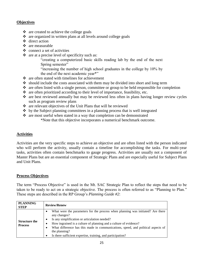#### **Objectives**

- $\triangleleft$  are created to achieve the college goals
- are organized in written plans at all levels around college goals
- direct action
- $\div$  are measurable
- $\triangleleft$  connect a set of activities
- $\triangle$  are at a precise level of specificity such as:

 "creating a computerized basic skills reading lab by the end of the next Spring semester"

 "increasing the number of high school graduates in the college by 10% by the end of the next academic year\*"

- $\triangle$  are often stated with timelines for achievement
- should include the costs associated with them may be divided into short and long term
- $\cdot$  are often listed with a single person, committee or group to be held responsible for completion
- $\bullet$  are often prioritized according to their level of importance, feasibility, etc.
- are best reviewed annually but may be reviewed less often in plans having longer review cycles such as program review plans
- \* are relevant objectives of the Unit Plans that will be reviewed
- $\triangleq$  by the Subject planning committees in a planning process that is well integrated
- \* are most useful when stated in a way that completion can be demonstrated \*Note that this objective incorporates a numerical benchmark outcome.

#### **Activities**

 Activities are the very specific steps to achieve an objective and are often listed with the person indicated who will perform the activity, usually contain a timeline for accomplishing the tasks. For multi-year tasks, activities often contain benchmarks to gauge progress. Activities are usually not a component of Master Plans but are an essential component of Strategic Plans and are especially useful for Subject Plans and Unit Plans.

#### **Process Objectives**

 The term "Process Objective" is used in the Mt. SAC Strategic Plan to reflect the steps that need to be taken to be ready to act on a strategic objective. The process is often referred to as "Planning to Plan." These steps are described in the RP Group's *Planning Guide #2*:

| <b>PLANNING</b><br><b>STEP</b>         | <b>Review/Renew</b>                                                                                                                                                                                                                                                                                                                                                                       |
|----------------------------------------|-------------------------------------------------------------------------------------------------------------------------------------------------------------------------------------------------------------------------------------------------------------------------------------------------------------------------------------------------------------------------------------------|
| <b>Structure the</b><br><b>Process</b> | What were the parameters for the process when planning was initiated? Are there<br>any changes?<br>Is any simplification or articulation needed?<br>How ingrained is a culture of planning and a culture of evidence?<br>What difference has this made in communications, speed, and political aspects of<br>the planning?<br>Is there sufficient expertise, training, and participation? |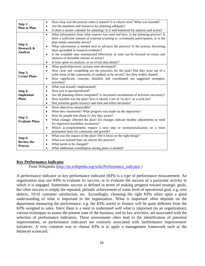|                                     | How clear was the process when it started? Is it clearer now? What was learned?<br>$\bullet$         |
|-------------------------------------|------------------------------------------------------------------------------------------------------|
| Step 1:                             | Are the timelines and resources for planning adequate?<br>$\bullet$                                  |
| <b>Plan to Plan</b>                 | Is there a master calendar for planning? Is it well balanced for analysis and action?<br>$\bullet$   |
|                                     | What information from what sources was used and how, in the planning process? Is<br>$\bullet$        |
|                                     | there a sufficient amount of external scanning or co1nmunity participation, or is the                |
|                                     | plan totally internally driven?                                                                      |
| Step 2:<br>Research &               | What information is needed next to advance the process? Is the process becoming<br>$\bullet$         |
| <b>Analyze</b>                      | more grounded in research evidence?                                                                  |
|                                     | Is the available data summarized effectively so time can be focused on issues and<br>$\bullet$       |
|                                     | analysis of desirable courses of action?                                                             |
|                                     | Is time spent on analysis, or on trivial data details?<br>$\bullet$                                  |
|                                     | What goals/objectives /actions were developed?<br>$\bullet$                                          |
| Step 3:                             | How clear and compelling are the priorities for the plan? Did they arise out of a<br>$\bullet$       |
| <b>Create Plans</b>                 | solid sense of the community of students to be served? Are they widely shared?                       |
|                                     | How significant, concrete, detailed, and coordinated are suggested strategies,<br>$\bullet$          |
|                                     | activities?                                                                                          |
|                                     |                                                                                                      |
|                                     | What was actually implemented?<br>$\bullet$                                                          |
| Step 4:                             | How was it operationalized?<br>$\bullet$                                                             |
| Implement                           | Are all planning efforts integrated? Is increased coordination of activities necessary?<br>$\bullet$ |
| <b>Plans</b>                        | How feasible was the plan? Was it merely a list of "to do's" or a wish list?<br>$\bullet$            |
|                                     | Did priorities guide resource and time and effort decisions?<br>$\bullet$                            |
|                                     | Were objectives measurable?<br>$\bullet$                                                             |
|                                     | Were they monitored? What progress was made on the objectives?<br>$\bullet$                          |
|                                     | How do people feel about it? Are they aware?<br>$\bullet$                                            |
| Step 5:                             | What changes affected the plan? Do changes indicate healthy adjustments or need<br>$\bullet$         |
| <b>Evaluate Plans</b>               | for improved feasibility awareness?                                                                  |
|                                     | Which accomplishments require a next step or institutionalization on a more<br>$\bullet$             |
|                                     | permanent basis for continuity and growth?                                                           |
|                                     | What was the impact of the plan? Did it focus on the right things?<br>$\bullet$                      |
| Step 6:                             | What was learned that can inform this process?<br>$\bullet$                                          |
| <b>Review the</b><br><b>Process</b> | What needs to be changed?<br>What additional coordination among plans is needed?                     |

#### **Key Performance Indicator**

From Wikipedia (http://en.wikipedia.org/wiki/Performance\_indicator)

 A performance indicator or key performance indicator (KPI) is a type of [performance measurement.](http://en.wikipedia.org/wiki/Performance_measurement) An organization may use KPIs to evaluate its success, or to evaluate the success of a particular activity in which it is engaged. Sometimes success is defined in terms of making progress toward strategic goals, but often success is simply the repeated, periodic achievement of some level of operational goal, e.g. zero defects, 10/10 customer satisfaction, etc. Accordingly, choosing the right KPIs relies upon a good understanding of what is important to the organization. 'What is important' often depends on the department measuring the performance, e.g. the KPIs useful to finance will be quite different from the KPIs assigned to sales. Since there is a need to understand well what is important (to an organization), improvements, so performance indicators are routinely associated with 'performance improvement' initiatives. A very common way to choose KPIs is to apply a management framework such as the various techniques to assess the present state of the business, and its key activities, are associated with the selection of performance indicators. These assessments often lead to the identification of potential [balanced scorecard.](http://en.wikipedia.org/wiki/Balanced_scorecard)